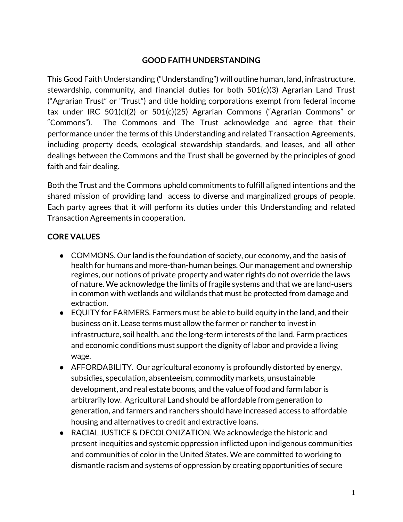## **GOOD FAITH UNDERSTANDING**

This Good Faith Understanding ("Understanding") will outline human, land, infrastructure, stewardship, community, and financial duties for both 501(c)(3) Agrarian Land Trust ("Agrarian Trust" or "Trust") and title holding corporations exempt from federal income tax under IRC 501(c)(2) or 501(c)(25) Agrarian Commons ("Agrarian Commons" or "Commons"). The Commons and The Trust acknowledge and agree that their performance under the terms of this Understanding and related Transaction Agreements, including property deeds, ecological stewardship standards, and leases, and all other dealings between the Commons and the Trust shall be governed by the principles of good faith and fair dealing.

Both the Trust and the Commons uphold commitments to fulfill aligned intentions and the shared mission of providing land access to diverse and marginalized groups of people. Each party agrees that it will perform its duties under this Understanding and related Transaction Agreements in cooperation.

# **CORE VALUES**

- COMMONS. Our land is the foundation of society, our economy, and the basis of health for humans and more-than-human beings. Our management and ownership regimes, our notions of private property and water rights do not override the laws of nature. We acknowledge the limits of fragile systems and that we are land-users in common with wetlands and wildlands that must be protected from damage and extraction.
- EQUITY for FARMERS. Farmers must be able to build equity in the land, and their business on it. Lease terms must allow the farmer or rancher to invest in infrastructure, soil health, and the long-term interests of the land. Farm practices and economic conditions must support the dignity of labor and provide a living wage.
- AFFORDABILITY. Our agricultural economy is profoundly distorted by energy, subsidies, speculation, absenteeism, commodity markets, unsustainable development, and real estate booms, and the value of food and farm labor is arbitrarily low. Agricultural Land should be affordable from generation to generation, and farmers and ranchers should have increased access to affordable housing and alternatives to credit and extractive loans.
- RACIAL JUSTICE & DECOLONIZATION. We acknowledge the historic and present inequities and systemic oppression inflicted upon indigenous communities and communities of color in the United States. We are committed to working to dismantle racism and systems of oppression by creating opportunities of secure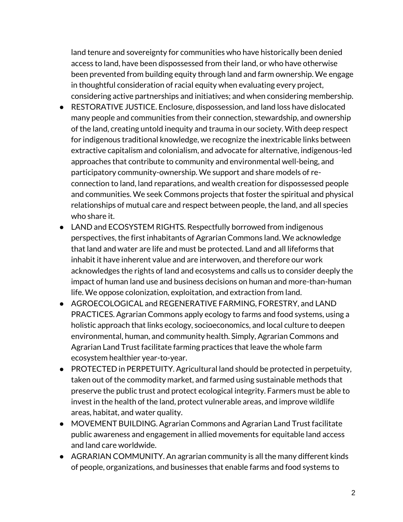land tenure and sovereignty for communities who have historically been denied access to land, have been dispossessed from their land, or who have otherwise been prevented from building equity through land and farm ownership. We engage in thoughtful consideration of racial equity when evaluating every project, considering active partnerships and initiatives; and when considering membership.

- RESTORATIVE JUSTICE. Enclosure, dispossession, and land loss have dislocated many people and communities from their connection, stewardship, and ownership of the land, creating untold inequity and trauma in our society. With deep respect for indigenous traditional knowledge, we recognize the inextricable links between extractive capitalism and colonialism, and advocate for alternative, indigenous-led approaches that contribute to community and environmental well-being, and participatory community-ownership. We support and share models of reconnection to land, land reparations, and wealth creation for dispossessed people and communities. We seek Commons projects that foster the spiritual and physical relationships of mutual care and respect between people, the land, and all species who share it.
- LAND and ECOSYSTEM RIGHTS. Respectfully borrowed from indigenous perspectives, the first inhabitants of Agrarian Commons land. We acknowledge that land and water are life and must be protected. Land and all lifeforms that inhabit it have inherent value and are interwoven, and therefore our work acknowledges the rights of land and ecosystems and calls us to consider deeply the impact of human land use and business decisions on human and more-than-human life. We oppose colonization, exploitation, and extraction from land.
- AGROECOLOGICAL and REGENERATIVE FARMING, FORESTRY, and LAND PRACTICES. Agrarian Commons apply ecology to farms and food systems, using a holistic approach that links ecology, socioeconomics, and local culture to deepen environmental, human, and community health. Simply, Agrarian Commons and Agrarian Land Trust facilitate farming practices that leave the whole farm ecosystem healthier year-to-year.
- PROTECTED in PERPETUITY. Agricultural land should be protected in perpetuity, taken out of the commodity market, and farmed using sustainable methods that preserve the public trust and protect ecological integrity. Farmers must be able to invest in the health of the land, protect vulnerable areas, and improve wildlife areas, habitat, and water quality.
- MOVEMENT BUILDING. Agrarian Commons and Agrarian Land Trust facilitate public awareness and engagement in allied movements for equitable land access and land care worldwide.
- AGRARIAN COMMUNITY. An agrarian community is all the many different kinds of people, organizations, and businesses that enable farms and food systems to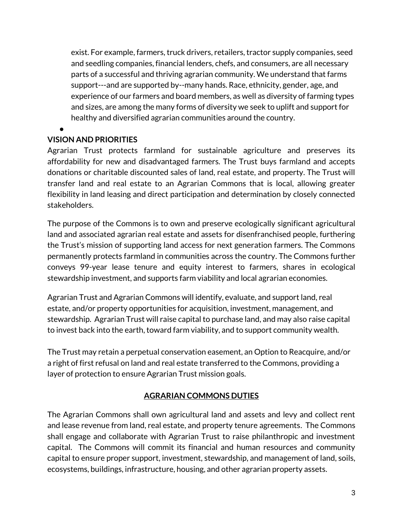exist. For example, farmers, truck drivers, retailers, tractor supply companies, seed and seedling companies, financial lenders, chefs, and consumers, are all necessary parts of a successful and thriving agrarian community. We understand that farms support---and are supported by--many hands. Race, ethnicity, gender, age, and experience of our farmers and board members, as well as diversity of farming types and sizes, are among the many forms of diversity we seek to uplift and support for healthy and diversified agrarian communities around the country.

#### ● **VISION AND PRIORITIES**

Agrarian Trust protects farmland for sustainable agriculture and preserves its affordability for new and disadvantaged farmers. The Trust buys farmland and accepts donations or charitable discounted sales of land, real estate, and property. The Trust will transfer land and real estate to an Agrarian Commons that is local, allowing greater flexibility in land leasing and direct participation and determination by closely connected stakeholders.

The purpose of the Commons is to own and preserve ecologically significant agricultural land and associated agrarian real estate and assets for disenfranchised people, furthering the Trust's mission of supporting land access for next generation farmers. The Commons permanently protects farmland in communities across the country. The Commons further conveys 99-year lease tenure and equity interest to farmers, shares in ecological stewardship investment, and supports farm viability and local agrarian economies.

Agrarian Trust and Agrarian Commons will identify, evaluate, and support land, real estate, and/or property opportunities for acquisition, investment, management, and stewardship. Agrarian Trust will raise capital to purchase land, and may also raise capital to invest back into the earth, toward farm viability, and to support community wealth.

The Trust may retain a perpetual conservation easement, an Option to Reacquire, and/or a right of first refusal on land and real estate transferred to the Commons, providing a layer of protection to ensure Agrarian Trust mission goals.

#### **AGRARIAN COMMONS DUTIES**

The Agrarian Commons shall own agricultural land and assets and levy and collect rent and lease revenue from land, real estate, and property tenure agreements. The Commons shall engage and collaborate with Agrarian Trust to raise philanthropic and investment capital. The Commons will commit its financial and human resources and community capital to ensure proper support, investment, stewardship, and management of land, soils, ecosystems, buildings, infrastructure, housing, and other agrarian property assets.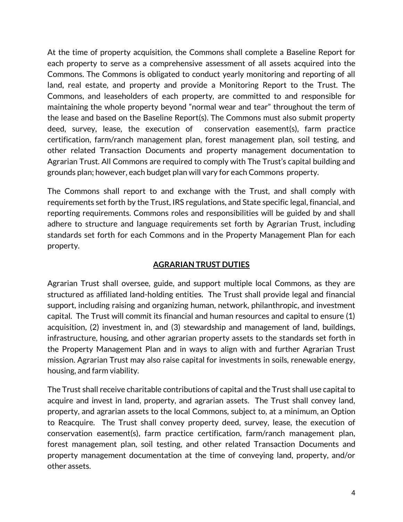At the time of property acquisition, the Commons shall complete a Baseline Report for each property to serve as a comprehensive assessment of all assets acquired into the Commons. The Commons is obligated to conduct yearly monitoring and reporting of all land, real estate, and property and provide a Monitoring Report to the Trust. The Commons, and leaseholders of each property, are committed to and responsible for maintaining the whole property beyond "normal wear and tear" throughout the term of the lease and based on the Baseline Report(s). The Commons must also submit property deed, survey, lease, the execution of conservation easement(s), farm practice certification, farm/ranch management plan, forest management plan, soil testing, and other related Transaction Documents and property management documentation to Agrarian Trust. All Commons are required to comply with The Trust's capital building and grounds plan; however, each budget plan will vary for each Commons property.

The Commons shall report to and exchange with the Trust, and shall comply with requirements set forth by the Trust, IRS regulations, and State specific legal, financial, and reporting requirements. Commons roles and responsibilities will be guided by and shall adhere to structure and language requirements set forth by Agrarian Trust, including standards set forth for each Commons and in the Property Management Plan for each property.

# **AGRARIAN TRUST DUTIES**

Agrarian Trust shall oversee, guide, and support multiple local Commons, as they are structured as affiliated land-holding entities. The Trust shall provide legal and financial support, including raising and organizing human, network, philanthropic, and investment capital. The Trust will commit its financial and human resources and capital to ensure (1) acquisition, (2) investment in, and (3) stewardship and management of land, buildings, infrastructure, housing, and other agrarian property assets to the standards set forth in the Property Management Plan and in ways to align with and further Agrarian Trust mission. Agrarian Trust may also raise capital for investments in soils, renewable energy, housing, and farm viability.

The Trust shall receive charitable contributions of capital and the Trust shall use capital to acquire and invest in land, property, and agrarian assets. The Trust shall convey land, property, and agrarian assets to the local Commons, subject to, at a minimum, an Option to Reacquire. The Trust shall convey property deed, survey, lease, the execution of conservation easement(s), farm practice certification, farm/ranch management plan, forest management plan, soil testing, and other related Transaction Documents and property management documentation at the time of conveying land, property, and/or other assets.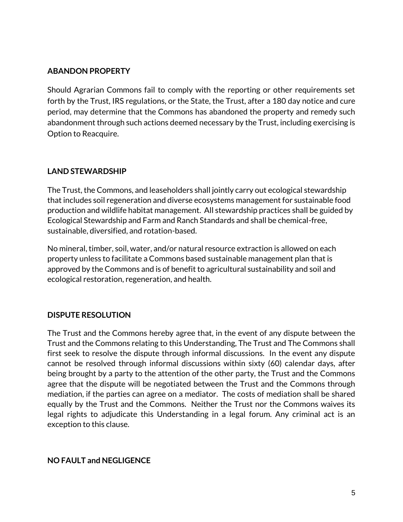### **ABANDON PROPERTY**

Should Agrarian Commons fail to comply with the reporting or other requirements set forth by the Trust, IRS regulations, or the State, the Trust, after a 180 day notice and cure period, may determine that the Commons has abandoned the property and remedy such abandonment through such actions deemed necessary by the Trust, including exercising is Option to Reacquire.

# **LAND STEWARDSHIP**

The Trust, the Commons, and leaseholders shall jointly carry out ecological stewardship that includes soil regeneration and diverse ecosystems management for sustainable food production and wildlife habitat management. All stewardship practices shall be guided by Ecological Stewardship and Farm and Ranch Standards and shall be chemical-free, sustainable, diversified, and rotation-based.

No mineral, timber, soil, water, and/or natural resource extraction is allowed on each property unless to facilitate a Commons based sustainable management plan that is approved by the Commons and is of benefit to agricultural sustainability and soil and ecological restoration, regeneration, and health.

# **DISPUTE RESOLUTION**

The Trust and the Commons hereby agree that, in the event of any dispute between the Trust and the Commons relating to this Understanding, The Trust and The Commons shall first seek to resolve the dispute through informal discussions. In the event any dispute cannot be resolved through informal discussions within sixty (60) calendar days, after being brought by a party to the attention of the other party, the Trust and the Commons agree that the dispute will be negotiated between the Trust and the Commons through mediation, if the parties can agree on a mediator. The costs of mediation shall be shared equally by the Trust and the Commons. Neither the Trust nor the Commons waives its legal rights to adjudicate this Understanding in a legal forum. Any criminal act is an exception to this clause.

**NO FAULT and NEGLIGENCE**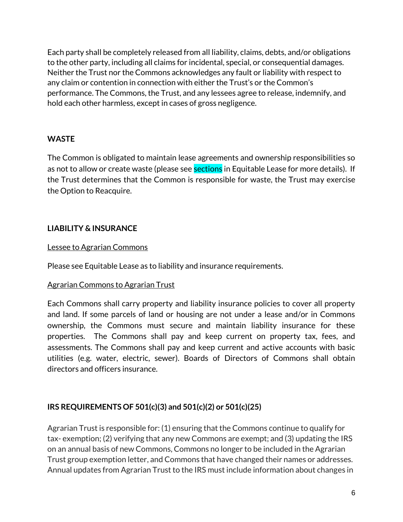Each party shall be completely released from all liability, claims, debts, and/or obligations to the other party, including all claims for incidental, special, or consequential damages. Neither the Trust nor the Commons acknowledges any fault or liability with respect to any claim or contention in connection with either the Trust's or the Common's performance. The Commons, the Trust, and any lessees agree to release, indemnify, and hold each other harmless, except in cases of gross negligence.

## **WASTE**

The Common is obligated to maintain lease agreements and ownership responsibilities so as not to allow or create waste (please see **sections** in Equitable Lease for more details). If the Trust determines that the Common is responsible for waste, the Trust may exercise the Option to Reacquire.

## **LIABILITY & INSURANCE**

#### Lessee to Agrarian Commons

Please see Equitable Lease as to liability and insurance requirements.

#### Agrarian Commons to Agrarian Trust

Each Commons shall carry property and liability insurance policies to cover all property and land. If some parcels of land or housing are not under a lease and/or in Commons ownership, the Commons must secure and maintain liability insurance for these properties. The Commons shall pay and keep current on property tax, fees, and assessments. The Commons shall pay and keep current and active accounts with basic utilities (e.g. water, electric, sewer). Boards of Directors of Commons shall obtain directors and officers insurance.

# **IRS REQUIREMENTS OF 501(c)(3) and 501(c)(2) or 501(c)(25)**

Agrarian Trust is responsible for: (1) ensuring that the Commons continue to qualify for tax- exemption; (2) verifying that any new Commons are exempt; and (3) updating the IRS on an annual basis of new Commons, Commons no longer to be included in the Agrarian Trust group exemption letter, and Commons that have changed their names or addresses. Annual updates from Agrarian Trust to the IRS must include information about changes in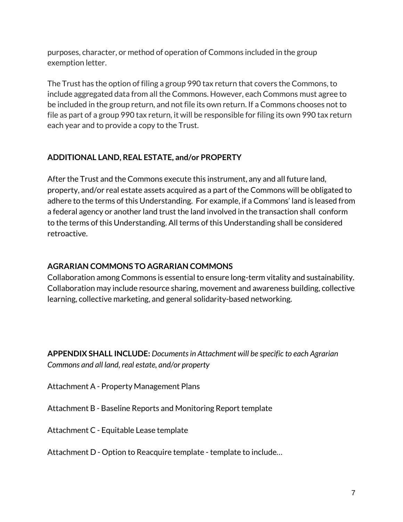purposes, character, or method of operation of Commons included in the group exemption letter.

The Trust has the option of filing a group 990 tax return that covers the Commons, to include aggregated data from all the Commons. However, each Commons must agree to be included in the group return, and not file its own return. If a Commons chooses not to file as part of a group 990 tax return, it will be responsible for filing its own 990 tax return each year and to provide a copy to the Trust.

# **ADDITIONAL LAND, REAL ESTATE, and/or PROPERTY**

After the Trust and the Commons execute this instrument, any and all future land, property, and/or real estate assets acquired as a part of the Commons will be obligated to adhere to the terms of this Understanding. For example, if a Commons' land is leased from a federal agency or another land trust the land involved in the transaction shall conform to the terms of this Understanding. All terms of this Understanding shall be considered retroactive.

# **AGRARIAN COMMONS TO AGRARIAN COMMONS**

Collaboration among Commons is essential to ensure long-term vitality and sustainability. Collaboration may include resource sharing, movement and awareness building, collective learning, collective marketing, and general solidarity-based networking.

**APPENDIX SHALL INCLUDE:** *Documents in Attachment will be specific to each Agrarian Commons and all land, real estate, and/or property*

Attachment A - Property Management Plans

Attachment B - Baseline Reports and Monitoring Report template

Attachment C - Equitable Lease template

Attachment D - Option to Reacquire template - template to include…